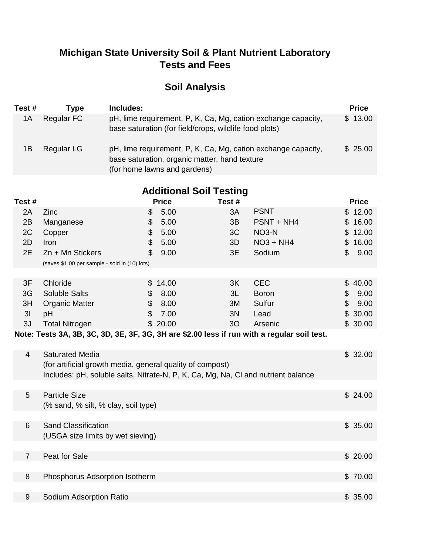### **Michigan State University Soil & Plant Nutrient Laboratory Tests and Fees**

# **Soil Analysis**

| Test # | Tvpe       | Includes:                                                                                                                                      | <b>Price</b> |
|--------|------------|------------------------------------------------------------------------------------------------------------------------------------------------|--------------|
| 1A     | Regular FC | pH, lime requirement, P, K, Ca, Mg, cation exchange capacity,<br>base saturation (for field/crops, wildlife food plots)                        | \$13.00      |
| 1Β     | Regular LG | pH, lime requirement, P, K, Ca, Mg, cation exchange capacity,<br>base saturation, organic matter, hand texture<br>(for home lawns and gardens) | \$25.00      |

| <b>Additional Soil Testing</b> |                                                                                                                                                |                |              |                |                    |    |              |
|--------------------------------|------------------------------------------------------------------------------------------------------------------------------------------------|----------------|--------------|----------------|--------------------|----|--------------|
| Test #                         |                                                                                                                                                |                | <b>Price</b> | Test#          |                    |    | <b>Price</b> |
| 2A                             | Zinc                                                                                                                                           | \$             | 5.00         | 3A             | <b>PSNT</b>        |    | \$12.00      |
| 2B                             | Manganese                                                                                                                                      | \$             | 5.00         | 3B             | PSNT + NH4         |    | \$16.00      |
| 2C                             | Copper                                                                                                                                         | \$             | 5.00         | 3C             | NO <sub>3</sub> -N |    | \$12.00      |
| 2D                             | Iron                                                                                                                                           | \$             | 5.00         | 3D             | $NO3 + NH4$        |    | \$16.00      |
| 2E                             | $Zn + Mn$ Stickers                                                                                                                             | $\mathfrak{L}$ | 9.00         | 3E             | Sodium             | \$ | 9.00         |
|                                | (saves \$1.00 per sample - sold in (10) lots)                                                                                                  |                |              |                |                    |    |              |
|                                |                                                                                                                                                |                |              |                |                    |    |              |
| 3F                             | Chloride                                                                                                                                       | \$             | 14.00        | 3K             | <b>CEC</b>         | \$ | 40.00        |
| 3G                             | <b>Soluble Salts</b>                                                                                                                           | \$             | 8.00         | 3L             | <b>Boron</b>       | \$ | 9.00         |
| 3H                             | <b>Organic Matter</b>                                                                                                                          | \$             | 8.00         | 3M             | Sulfur             | \$ | 9.00         |
| 3 <sub>l</sub>                 | pH                                                                                                                                             | $\mathfrak{L}$ | 7.00         | 3N             | Lead               |    | \$30.00      |
| 3J                             | <b>Total Nitrogen</b>                                                                                                                          |                | \$20.00      | 3 <sub>O</sub> | Arsenic            |    | \$30.00      |
|                                | Note: Tests 3A, 3B, 3C, 3D, 3E, 3F, 3G, 3H are \$2.00 less if run with a regular soil test.                                                    |                |              |                |                    |    |              |
| 4                              | <b>Saturated Media</b>                                                                                                                         |                |              |                |                    |    | \$32.00      |
|                                | (for artificial growth media, general quality of compost)<br>Includes: pH, soluble salts, Nitrate-N, P, K, Ca, Mg, Na, CI and nutrient balance |                |              |                |                    |    |              |
|                                |                                                                                                                                                |                |              |                |                    |    |              |
| 5                              | <b>Particle Size</b>                                                                                                                           |                |              |                |                    |    | \$24.00      |
|                                | (% sand, % silt, % clay, soil type)                                                                                                            |                |              |                |                    |    |              |
| 6                              | <b>Sand Classification</b>                                                                                                                     |                |              |                |                    |    | \$35.00      |
|                                | (USGA size limits by wet sieving)                                                                                                              |                |              |                |                    |    |              |
|                                |                                                                                                                                                |                |              |                |                    |    |              |
| $\overline{7}$                 | Peat for Sale                                                                                                                                  |                |              |                |                    |    | \$20.00      |
|                                |                                                                                                                                                |                |              |                |                    |    |              |
| 8                              | Phosphorus Adsorption Isotherm                                                                                                                 |                |              |                |                    |    | \$70.00      |
|                                |                                                                                                                                                |                |              |                |                    |    |              |
| $\boldsymbol{9}$               | Sodium Adsorption Ratio                                                                                                                        |                |              |                |                    |    | \$35.00      |
|                                |                                                                                                                                                |                |              |                |                    |    |              |